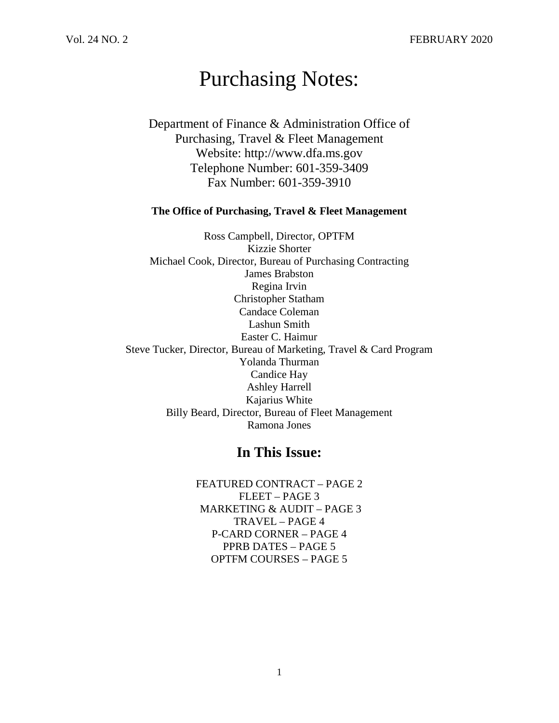# Purchasing Notes:

Department of Finance & Administration Office of Purchasing, Travel & Fleet Management Website: http://www.dfa.ms.gov Telephone Number: 601-359-3409 Fax Number: 601-359-3910

#### **The Office of Purchasing, Travel & Fleet Management**

Ross Campbell, Director, OPTFM Kizzie Shorter Michael Cook, Director, Bureau of Purchasing Contracting James Brabston Regina Irvin Christopher Statham Candace Coleman Lashun Smith Easter C. Haimur Steve Tucker, Director, Bureau of Marketing, Travel & Card Program Yolanda Thurman Candice Hay Ashley Harrell Kajarius White Billy Beard, Director, Bureau of Fleet Management Ramona Jones

# **In This Issue:**

FEATURED CONTRACT – PAGE 2 FLEET – PAGE 3 MARKETING & AUDIT – PAGE 3 TRAVEL – PAGE 4 P-CARD CORNER – PAGE 4 PPRB DATES – PAGE 5 OPTFM COURSES – PAGE 5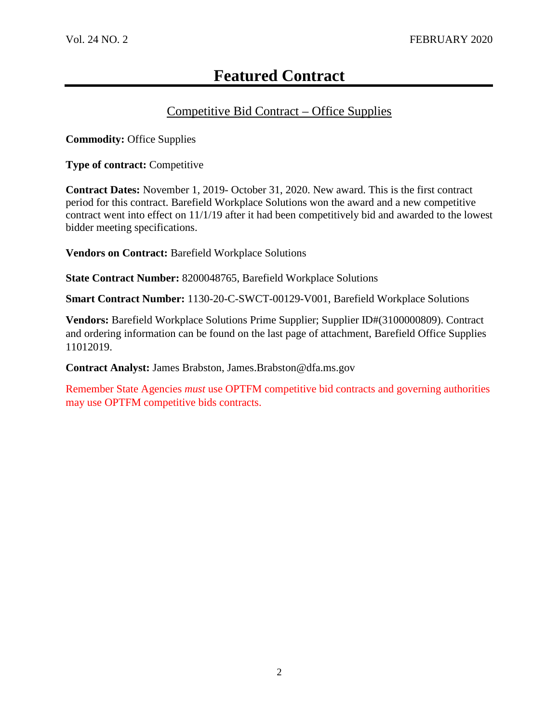# **Featured Contract**

# Competitive Bid Contract – Office Supplies

**Commodity:** Office Supplies

**Type of contract:** Competitive

**Contract Dates:** November 1, 2019- October 31, 2020. New award. This is the first contract period for this contract. Barefield Workplace Solutions won the award and a new competitive contract went into effect on 11/1/19 after it had been competitively bid and awarded to the lowest bidder meeting specifications.

**Vendors on Contract:** Barefield Workplace Solutions

**State Contract Number:** 8200048765, Barefield Workplace Solutions

**Smart Contract Number:** 1130-20-C-SWCT-00129-V001, Barefield Workplace Solutions

**Vendors:** Barefield Workplace Solutions Prime Supplier; Supplier ID#(3100000809). Contract and ordering information can be found on the last page of attachment, Barefield Office Supplies 11012019.

**Contract Analyst:** James Brabston, James.Brabston@dfa.ms.gov

Remember State Agencies *must* use OPTFM competitive bid contracts and governing authorities may use OPTFM competitive bids contracts.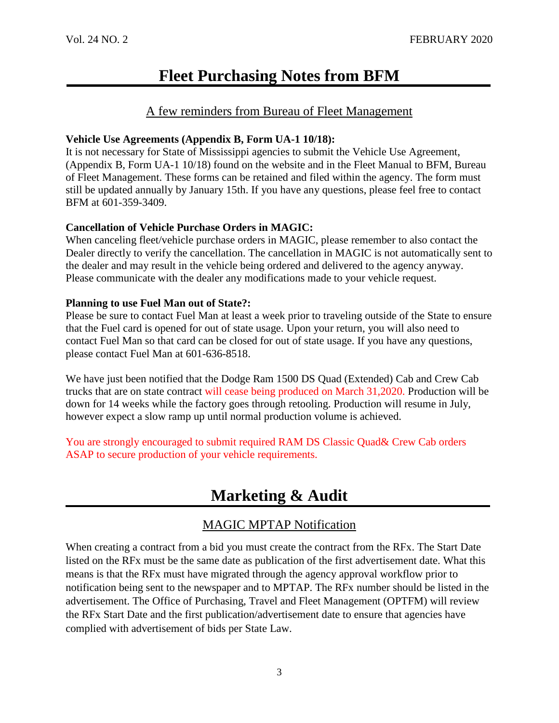# **Fleet Purchasing Notes from BFM**

## A few reminders from Bureau of Fleet Management

#### **Vehicle Use Agreements (Appendix B, Form UA-1 10/18):**

It is not necessary for State of Mississippi agencies to submit the Vehicle Use Agreement, (Appendix B, Form UA-1 10/18) found on the website and in the Fleet Manual to BFM, Bureau of Fleet Management. These forms can be retained and filed within the agency. The form must still be updated annually by January 15th. If you have any questions, please feel free to contact BFM at 601-359-3409.

## **Cancellation of Vehicle Purchase Orders in MAGIC:**

When canceling fleet/vehicle purchase orders in MAGIC, please remember to also contact the Dealer directly to verify the cancellation. The cancellation in MAGIC is not automatically sent to the dealer and may result in the vehicle being ordered and delivered to the agency anyway. Please communicate with the dealer any modifications made to your vehicle request.

## **Planning to use Fuel Man out of State?:**

Please be sure to contact Fuel Man at least a week prior to traveling outside of the State to ensure that the Fuel card is opened for out of state usage. Upon your return, you will also need to contact Fuel Man so that card can be closed for out of state usage. If you have any questions, please contact Fuel Man at 601-636-8518.

We have just been notified that the Dodge Ram 1500 DS Quad (Extended) Cab and Crew Cab trucks that are on state contract will cease being produced on March 31,2020. Production will be down for 14 weeks while the factory goes through retooling. Production will resume in July, however expect a slow ramp up until normal production volume is achieved.

You are strongly encouraged to submit required RAM DS Classic Quad& Crew Cab orders ASAP to secure production of your vehicle requirements.

# **Marketing & Audit**

## MAGIC MPTAP Notification

When creating a contract from a bid you must create the contract from the RFx. The Start Date listed on the RFx must be the same date as publication of the first advertisement date. What this means is that the RFx must have migrated through the agency approval workflow prior to notification being sent to the newspaper and to MPTAP. The RFx number should be listed in the advertisement. The Office of Purchasing, Travel and Fleet Management (OPTFM) will review the RFx Start Date and the first publication/advertisement date to ensure that agencies have complied with advertisement of bids per State Law.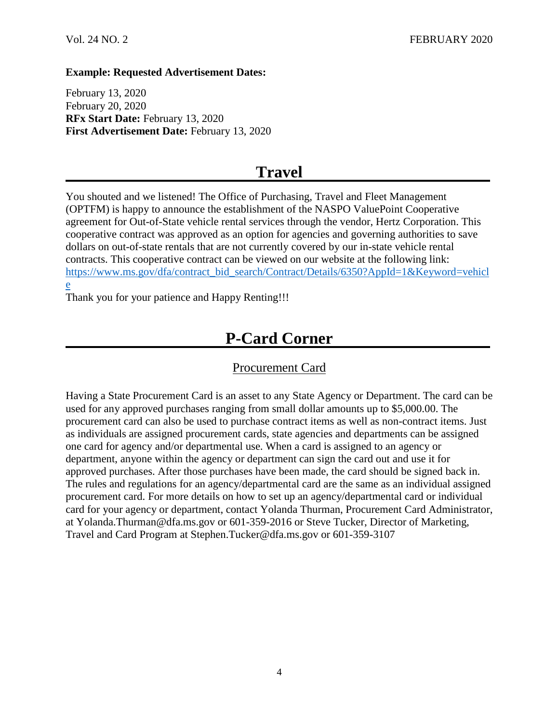#### **Example: Requested Advertisement Dates:**

February 13, 2020 February 20, 2020 **RFx Start Date:** February 13, 2020 **First Advertisement Date:** February 13, 2020

# **Travel**

You shouted and we listened! The Office of Purchasing, Travel and Fleet Management (OPTFM) is happy to announce the establishment of the NASPO ValuePoint Cooperative agreement for Out-of-State vehicle rental services through the vendor, Hertz Corporation. This cooperative contract was approved as an option for agencies and governing authorities to save dollars on out-of-state rentals that are not currently covered by our in-state vehicle rental contracts. This cooperative contract can be viewed on our website at the following link: [https://www.ms.gov/dfa/contract\\_bid\\_search/Contract/Details/6350?AppId=1&Keyword=vehicl](https://www.ms.gov/dfa/contract_bid_search/Contract/Details/6350?AppId=1&Keyword=vehicle) [e](https://www.ms.gov/dfa/contract_bid_search/Contract/Details/6350?AppId=1&Keyword=vehicle)

Thank you for your patience and Happy Renting!!!

# **P-Card Corner**

## Procurement Card

Having a State Procurement Card is an asset to any State Agency or Department. The card can be used for any approved purchases ranging from small dollar amounts up to \$5,000.00. The procurement card can also be used to purchase contract items as well as non-contract items. Just as individuals are assigned procurement cards, state agencies and departments can be assigned one card for agency and/or departmental use. When a card is assigned to an agency or department, anyone within the agency or department can sign the card out and use it for approved purchases. After those purchases have been made, the card should be signed back in. The rules and regulations for an agency/departmental card are the same as an individual assigned procurement card. For more details on how to set up an agency/departmental card or individual card for your agency or department, contact Yolanda Thurman, Procurement Card Administrator, at Yolanda.Thurman@dfa.ms.gov or 601-359-2016 or Steve Tucker, Director of Marketing, Travel and Card Program at Stephen.Tucker@dfa.ms.gov or 601-359-3107